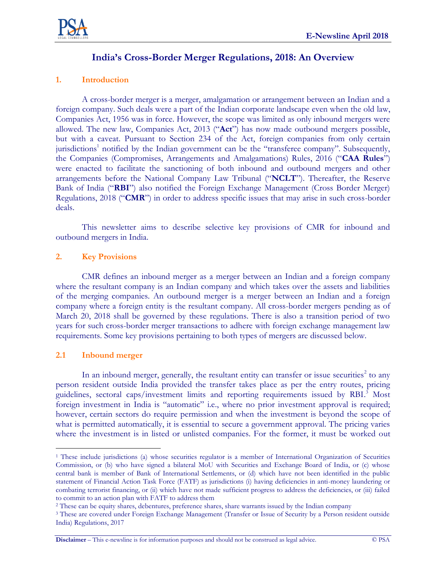

# **India's Cross-Border Merger Regulations, 2018: An Overview**

# **1. Introduction**

A cross-border merger is a merger, amalgamation or arrangement between an Indian and a foreign company. Such deals were a part of the Indian corporate landscape even when the old law, Companies Act, 1956 was in force. However, the scope was limited as only inbound mergers were allowed. The new law, Companies Act, 2013 ("**Act**") has now made outbound mergers possible, but with a caveat. Pursuant to Section 234 of the Act, foreign companies from only certain jurisdictions<sup>1</sup> notified by the Indian government can be the "transferee company". Subsequently, the Companies (Compromises, Arrangements and Amalgamations) Rules, 2016 ("**CAA Rules**") were enacted to facilitate the sanctioning of both inbound and outbound mergers and other arrangements before the National Company Law Tribunal ("**NCLT**"). Thereafter, the Reserve Bank of India ("**RBI**") also notified the Foreign Exchange Management (Cross Border Merger) Regulations, 2018 ("**CMR**") in order to address specific issues that may arise in such cross-border deals.

This newsletter aims to describe selective key provisions of CMR for inbound and outbound mergers in India.

# **2. Key Provisions**

CMR defines an inbound merger as a merger between an Indian and a foreign company where the resultant company is an Indian company and which takes over the assets and liabilities of the merging companies. An outbound merger is a merger between an Indian and a foreign company where a foreign entity is the resultant company. All cross-border mergers pending as of March 20, 2018 shall be governed by these regulations. There is also a transition period of two years for such cross-border merger transactions to adhere with foreign exchange management law requirements. Some key provisions pertaining to both types of mergers are discussed below.

### **2.1 Inbound merger**

In an inbound merger, generally, the resultant entity can transfer or issue securities<sup>2</sup> to any person resident outside India provided the transfer takes place as per the entry routes, pricing guidelines, sectoral caps/investment limits and reporting requirements issued by RBI. <sup>3</sup> Most foreign investment in India is "automatic" i.e., where no prior investment approval is required; however, certain sectors do require permission and when the investment is beyond the scope of what is permitted automatically, it is essential to secure a government approval. The pricing varies where the investment is in listed or unlisted companies. For the former, it must be worked out

**Disclaimer** – This e-newsline is for information purposes and should not be construed as legal advice. © PSA

 $\overline{a}$ <sup>1</sup> These include jurisdictions (a) whose securities regulator is a member of International Organization of Securities Commission, or (b) who have signed a bilateral MoU with Securities and Exchange Board of India, or (c) whose central bank is member of Bank of International Settlements, or (d) which have not been identified in the public statement of Financial Action Task Force (FATF) as jurisdictions (i) having deficiencies in anti-money laundering or combating terrorist financing, or (ii) which have not made sufficient progress to address the deficiencies, or (iii) failed to commit to an action plan with FATF to address them

<sup>2</sup> These can be equity shares, debentures, preference shares, share warrants issued by the Indian company

<sup>3</sup> These are covered under Foreign Exchange Management (Transfer or Issue of Security by a Person resident outside India) Regulations, 2017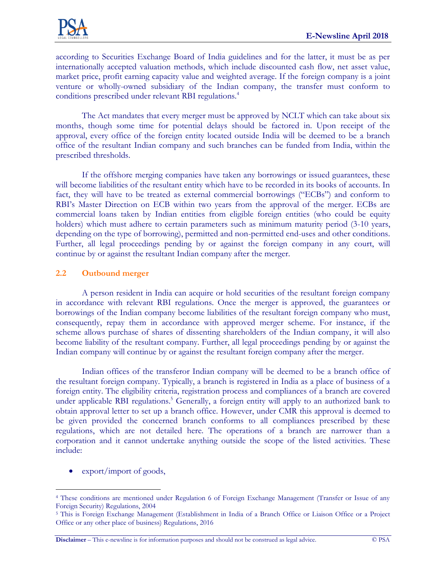according to Securities Exchange Board of India guidelines and for the latter, it must be as per internationally accepted valuation methods, which include discounted cash flow, net asset value, market price, profit earning capacity value and weighted average. If the foreign company is a joint venture or wholly-owned subsidiary of the Indian company, the transfer must conform to conditions prescribed under relevant RBI regulations.<sup>4</sup>

The Act mandates that every merger must be approved by NCLT which can take about six months, though some time for potential delays should be factored in. Upon receipt of the approval, every office of the foreign entity located outside India will be deemed to be a branch office of the resultant Indian company and such branches can be funded from India, within the prescribed thresholds.

If the offshore merging companies have taken any borrowings or issued guarantees, these will become liabilities of the resultant entity which have to be recorded in its books of accounts. In fact, they will have to be treated as external commercial borrowings ("ECBs") and conform to RBI's Master Direction on ECB within two years from the approval of the merger. ECBs are commercial loans taken by Indian entities from eligible foreign entities (who could be equity holders) which must adhere to certain parameters such as minimum maturity period (3-10 years, depending on the type of borrowing), permitted and non-permitted end-uses and other conditions. Further, all legal proceedings pending by or against the foreign company in any court, will continue by or against the resultant Indian company after the merger.

# **2.2 Outbound merger**

A person resident in India can acquire or hold securities of the resultant foreign company in accordance with relevant RBI regulations. Once the merger is approved, the guarantees or borrowings of the Indian company become liabilities of the resultant foreign company who must, consequently, repay them in accordance with approved merger scheme. For instance, if the scheme allows purchase of shares of dissenting shareholders of the Indian company, it will also become liability of the resultant company. Further, all legal proceedings pending by or against the Indian company will continue by or against the resultant foreign company after the merger.

Indian offices of the transferor Indian company will be deemed to be a branch office of the resultant foreign company. Typically, a branch is registered in India as a place of business of a foreign entity. The eligibility criteria, registration process and compliances of a branch are covered under applicable RBI regulations. <sup>5</sup> Generally, a foreign entity will apply to an authorized bank to obtain approval letter to set up a branch office. However, under CMR this approval is deemed to be given provided the concerned branch conforms to all compliances prescribed by these regulations, which are not detailed here. The operations of a branch are narrower than a corporation and it cannot undertake anything outside the scope of the listed activities. These include:

export/import of goods,

 $\overline{a}$ 

**Disclaimer** – This e-newsline is for information purposes and should not be construed as legal advice. © PSA

<sup>4</sup> These conditions are mentioned under Regulation 6 of Foreign Exchange Management (Transfer or Issue of any Foreign Security) Regulations, 2004

<sup>5</sup> This is Foreign Exchange Management (Establishment in India of a Branch Office or Liaison Office or a Project Office or any other place of business) Regulations, 2016